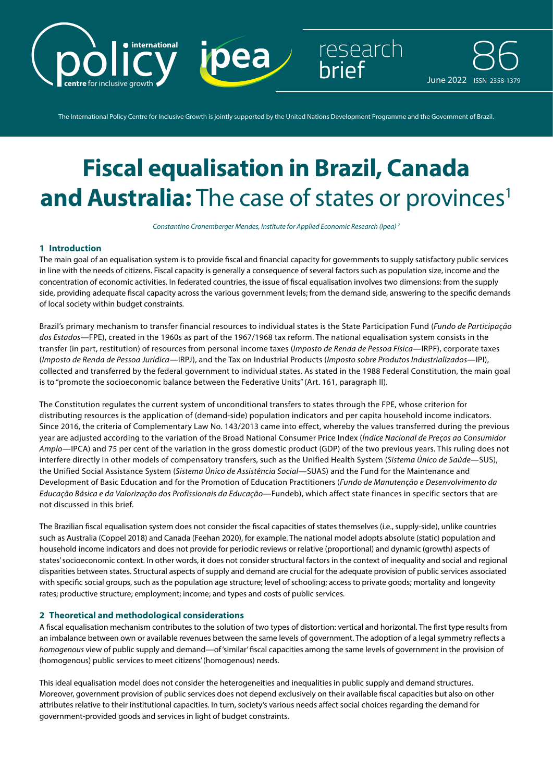

The International Policy Centre for Inclusive Growth is jointly supported by the United Nations Development Programme and the Government of Brazil.

# **Fiscal equalisation in Brazil, Canada and Australia:** The case of states or provinces<sup>1</sup>

*Constantino Cronemberger Mendes, Institute for Applied Economic Research (Ipea) 2*

## **1 Introduction**

The main goal of an equalisation system is to provide fiscal and financial capacity for governments to supply satisfactory public services in line with the needs of citizens. Fiscal capacity is generally a consequence of several factors such as population size, income and the concentration of economic activities. In federated countries, the issue of fiscal equalisation involves two dimensions: from the supply side, providing adequate fiscal capacity across the various government levels; from the demand side, answering to the specific demands of local society within budget constraints.

Brazil's primary mechanism to transfer financial resources to individual states is the State Participation Fund (*Fundo de Participação dos Estados*—FPE), created in the 1960s as part of the 1967/1968 tax reform. The national equalisation system consists in the transfer (in part, restitution) of resources from personal income taxes (*Imposto de Renda de Pessoa Física*—IRPF), corporate taxes (*Imposto de Renda de Pessoa Jurídica*—IRPJ), and the Tax on Industrial Products (*Imposto sobre Produtos Industrializados*—IPI), collected and transferred by the federal government to individual states. As stated in the 1988 Federal Constitution, the main goal is to "promote the socioeconomic balance between the Federative Units" (Art. 161, paragraph II).

The Constitution regulates the current system of unconditional transfers to states through the FPE, whose criterion for distributing resources is the application of (demand-side) population indicators and per capita household income indicators. Since 2016, the criteria of Complementary Law No. 143/2013 came into effect, whereby the values transferred during the previous year are adjusted according to the variation of the Broad National Consumer Price Index (*Índice Nacional de Preços ao Consumidor Amplo*—IPCA) and 75 per cent of the variation in the gross domestic product (GDP) of the two previous years. This ruling does not interfere directly in other models of compensatory transfers, such as the Unified Health System (*Sistema Único de Saúde*—SUS), the Unified Social Assistance System (*Sistema Único de Assistência Social*—SUAS) and the Fund for the Maintenance and Development of Basic Education and for the Promotion of Education Practitioners (*Fundo de Manutenção e Desenvolvimento da Educação Básica e da Valorização dos Profissionais da Educação*—Fundeb), which affect state finances in specific sectors that are not discussed in this brief.

The Brazilian fiscal equalisation system does not consider the fiscal capacities of states themselves (i.e., supply-side), unlike countries such as Australia (Coppel 2018) and Canada (Feehan 2020), for example. The national model adopts absolute (static) population and household income indicators and does not provide for periodic reviews or relative (proportional) and dynamic (growth) aspects of states' socioeconomic context. In other words, it does not consider structural factors in the context of inequality and social and regional disparities between states. Structural aspects of supply and demand are crucial for the adequate provision of public services associated with specific social groups, such as the population age structure; level of schooling; access to private goods; mortality and longevity rates; productive structure; employment; income; and types and costs of public services.

#### **2 Theoretical and methodological considerations**

A fiscal equalisation mechanism contributes to the solution of two types of distortion: vertical and horizontal. The first type results from an imbalance between own or available revenues between the same levels of government. The adoption of a legal symmetry reflects a *homogenous* view of public supply and demand—of 'similar' fiscal capacities among the same levels of government in the provision of (homogenous) public services to meet citizens' (homogenous) needs.

This ideal equalisation model does not consider the heterogeneities and inequalities in public supply and demand structures. Moreover, government provision of public services does not depend exclusively on their available fiscal capacities but also on other attributes relative to their institutional capacities. In turn, society's various needs affect social choices regarding the demand for government-provided goods and services in light of budget constraints.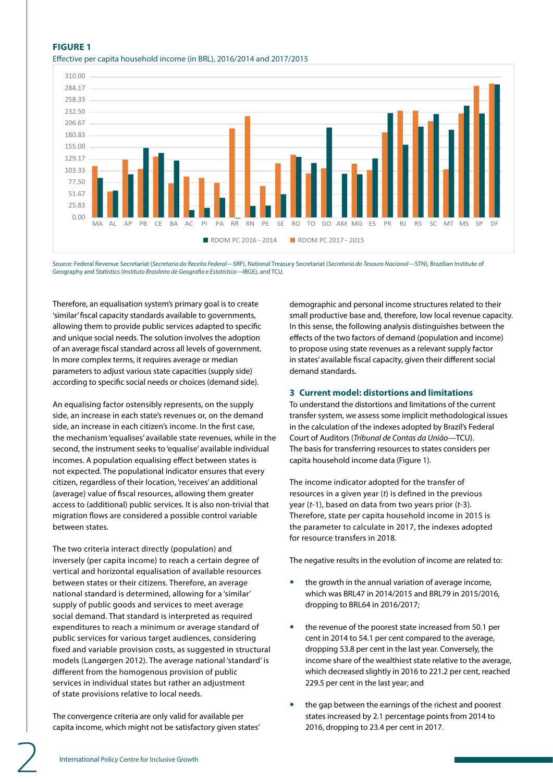# **FIGURE 1** Effective per capita household income (in BRL), 2016/2014 and 2017/2015



Source: Federal Revenue Secretariat (*Secretaria da Receita Federal—*SRF), National Treasury Secretariat (*Secretaria do Tesouro Nacional*—STN), Brazilian Institute of Geography and Statistics (*Instituto Brasileiro de Geografia e Estatística—*IBGE), and TCU.

Therefore, an equalisation system's primary goal is to create 'similar' fiscal capacity standards available to governments, allowing them to provide public services adapted to specific and unique social needs. The solution involves the adoption of an average fiscal standard across all levels of government. In more complex terms, it requires average or median parameters to adjust various state capacities (supply side) according to specific social needs or choices (demand side).

An equalising factor ostensibly represents, on the supply side, an increase in each state's revenues or, on the demand side, an increase in each citizen's income. In the first case, the mechanism 'equalises' available state revenues, while in the second, the instrument seeks to 'equalise' available individual incomes. A population equalising effect between states is not expected. The populational indicator ensures that every citizen, regardless of their location, 'receives' an additional (average) value of fiscal resources, allowing them greater access to (additional) public services. It is also non-trivial that migration flows are considered a possible control variable between states.

The two criteria interact directly (population) and inversely (per capita income) to reach a certain degree of vertical and horizontal equalisation of available resources between states or their citizens. Therefore, an average national standard is determined, allowing for a 'similar' supply of public goods and services to meet average social demand. That standard is interpreted as required expenditures to reach a minimum or average standard of public services for various target audiences, considering fixed and variable provision costs, as suggested in structural models (Langørgen 2012). The average national 'standard' is different from the homogenous provision of public services in individual states but rather an adjustment of state provisions relative to local needs.

The convergence criteria are only valid for available per capita income, which might not be satisfactory given states' demographic and personal income structures related to their small productive base and, therefore, low local revenue capacity. In this sense, the following analysis distinguishes between the effects of the two factors of demand (population and income) to propose using state revenues as a relevant supply factor in states' available fiscal capacity, given their different social demand standards.

### **3 Current model: distortions and limitations**

To understand the distortions and limitations of the current transfer system, we assess some implicit methodological issues in the calculation of the indexes adopted by Brazil's Federal Court of Auditors (*Tribunal de Contas da União*—TCU). The basis for transferring resources to states considers per capita household income data (Figure 1).

The income indicator adopted for the transfer of resources in a given year (*t*) is defined in the previous year (*t*-1), based on data from two years prior (*t*-3). Therefore, state per capita household income in 2015 is the parameter to calculate in 2017, the indexes adopted for resource transfers in 2018.

The negative results in the evolution of income are related to:

- the growth in the annual variation of average income, which was BRL47 in 2014/2015 and BRL79 in 2015/2016, dropping to BRL64 in 2016/2017;
- the revenue of the poorest state increased from 50.1 per cent in 2014 to 54.1 per cent compared to the average, dropping 53.8 per cent in the last year. Conversely, the income share of the wealthiest state relative to the average, which decreased slightly in 2016 to 221.2 per cent, reached 229.5 per cent in the last year; and
- the gap between the earnings of the richest and poorest states increased by 2.1 percentage points from 2014 to 2016, dropping to 23.4 per cent in 2017.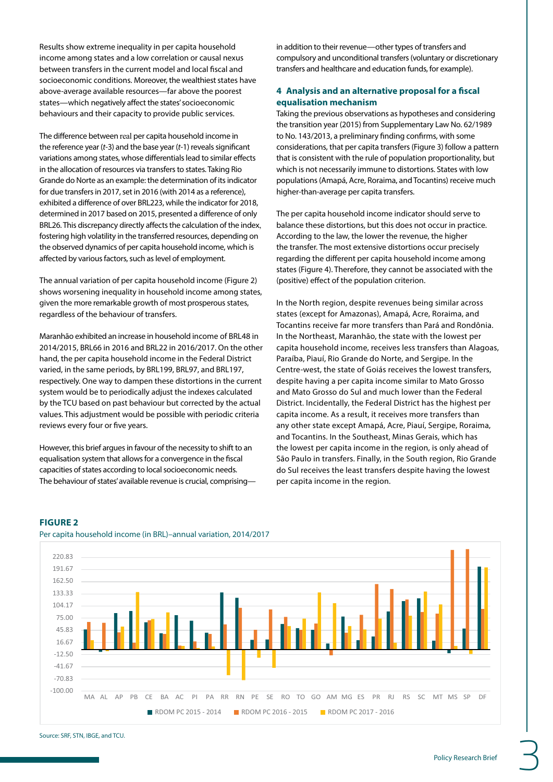Results show extreme inequality in per capita household income among states and a low correlation or causal nexus between transfers in the current model and local fiscal and socioeconomic conditions. Moreover, the wealthiest states have above-average available resources—far above the poorest states—which negatively affect the states' socioeconomic behaviours and their capacity to provide public services.

The difference between real per capita household income in the reference year (*t-*3) and the base year (*t*-1) reveals significant variations among states, whose differentials lead to similar effects in the allocation of resources via transfers to states. Taking Rio Grande do Norte as an example: the determination of its indicator for due transfers in 2017, set in 2016 (with 2014 as a reference), exhibited a difference of over BRL223, while the indicator for 2018, determined in 2017 based on 2015, presented a difference of only BRL26. This discrepancy directly affects the calculation of the index, fostering high volatility in the transferred resources, depending on the observed dynamics of per capita household income, which is affected by various factors, such as level of employment.

The annual variation of per capita household income (Figure 2) shows worsening inequality in household income among states, given the more remarkable growth of most prosperous states, regardless of the behaviour of transfers.

Maranhão exhibited an increase in household income of BRL48 in 2014/2015, BRL66 in 2016 and BRL22 in 2016/2017. On the other hand, the per capita household income in the Federal District varied, in the same periods, by BRL199, BRL97, and BRL197, respectively. One way to dampen these distortions in the current system would be to periodically adjust the indexes calculated by the TCU based on past behaviour but corrected by the actual values. This adjustment would be possible with periodic criteria reviews every four or five years.

However, this brief argues in favour of the necessity to shift to an equalisation system that allows for a convergence in the fiscal capacities of states according to local socioeconomic needs. The behaviour of states' available revenue is crucial, comprisingin addition to their revenue—other types of transfers and compulsory and unconditional transfers (voluntary or discretionary transfers and healthcare and education funds, for example).

# **4 Analysis and an alternative proposal for a fiscal equalisation mechanism**

Taking the previous observations as hypotheses and considering the transition year (2015) from Supplementary Law No. 62/1989 to No. 143/2013, a preliminary finding confirms, with some considerations, that per capita transfers (Figure 3) follow a pattern that is consistent with the rule of population proportionality, but which is not necessarily immune to distortions. States with low populations (Amapá, Acre, Roraima, and Tocantins) receive much higher-than-average per capita transfers.

The per capita household income indicator should serve to balance these distortions, but this does not occur in practice. According to the law, the lower the revenue, the higher the transfer. The most extensive distortions occur precisely regarding the different per capita household income among states (Figure 4). Therefore, they cannot be associated with the (positive) effect of the population criterion.

In the North region, despite revenues being similar across states (except for Amazonas), Amapá, Acre, Roraima, and Tocantins receive far more transfers than Pará and Rondônia. In the Northeast, Maranhão, the state with the lowest per capita household income, receives less transfers than Alagoas, Paraíba, Piauí, Rio Grande do Norte, and Sergipe. In the Centre-west, the state of Goiás receives the lowest transfers, despite having a per capita income similar to Mato Grosso and Mato Grosso do Sul and much lower than the Federal District. Incidentally, the Federal District has the highest per capita income. As a result, it receives more transfers than any other state except Amapá, Acre, Piauí, Sergipe, Roraima, and Tocantins. In the Southeast, Minas Gerais, which has the lowest per capita income in the region, is only ahead of São Paulo in transfers. Finally, in the South region, Rio Grande do Sul receives the least transfers despite having the lowest per capita income in the region.

# **FIGURE 2**



## Per capita household income (in BRL)–annual variation, 2014/2017

Source: SRF, STN, IBGE, and TCU.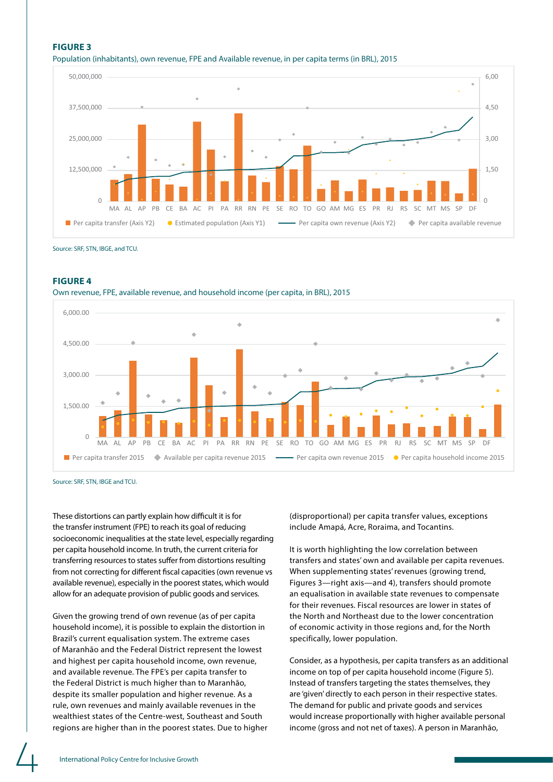# **FIGURE 3** Population (inhabitants), own revenue, FPE and Available revenue, in per capita terms (in BRL), 2015



Source: SRF, STN, IBGE, and TCU.

#### **FIGURE 4**

Own revenue, FPE, available revenue, and household income (per capita, in BRL), 2015



Source: SRF, STN, IBGE and TCU.

These distortions can partly explain how difficult it is for the transfer instrument (FPE) to reach its goal of reducing socioeconomic inequalities at the state level, especially regarding per capita household income. In truth, the current criteria for transferring resources to states suffer from distortions resulting from not correcting for different fiscal capacities (own revenue vs available revenue), especially in the poorest states, which would allow for an adequate provision of public goods and services.

Given the growing trend of own revenue (as of per capita household income), it is possible to explain the distortion in Brazil's current equalisation system. The extreme cases of Maranhão and the Federal District represent the lowest and highest per capita household income, own revenue, and available revenue. The FPE's per capita transfer to the Federal District is much higher than to Maranhão, despite its smaller population and higher revenue. As a rule, own revenues and mainly available revenues in the wealthiest states of the Centre-west, Southeast and South regions are higher than in the poorest states. Due to higher (disproportional) per capita transfer values, exceptions include Amapá, Acre, Roraima, and Tocantins.

It is worth highlighting the low correlation between transfers and states' own and available per capita revenues. When supplementing states' revenues (growing trend, Figures 3—right axis—and 4), transfers should promote an equalisation in available state revenues to compensate for their revenues. Fiscal resources are lower in states of the North and Northeast due to the lower concentration of economic activity in those regions and, for the North specifically, lower population.

Consider, as a hypothesis, per capita transfers as an additional income on top of per capita household income (Figure 5). Instead of transfers targeting the states themselves, they are 'given' directly to each person in their respective states. The demand for public and private goods and services would increase proportionally with higher available personal income (gross and not net of taxes). A person in Maranhão,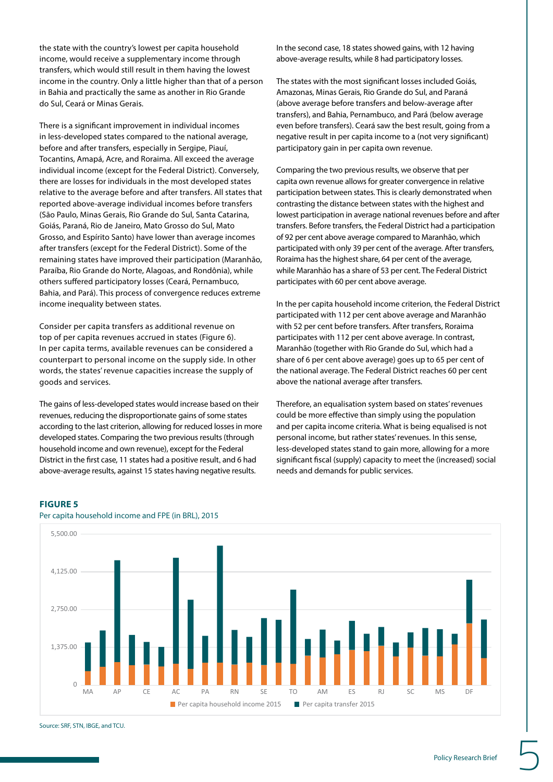the state with the country's lowest per capita household income, would receive a supplementary income through transfers, which would still result in them having the lowest income in the country. Only a little higher than that of a person in Bahia and practically the same as another in Rio Grande do Sul, Ceará or Minas Gerais.

There is a significant improvement in individual incomes in less-developed states compared to the national average, before and after transfers, especially in Sergipe, Piauí, Tocantins, Amapá, Acre, and Roraima. All exceed the average individual income (except for the Federal District). Conversely, there are losses for individuals in the most developed states relative to the average before and after transfers. All states that reported above-average individual incomes before transfers (São Paulo, Minas Gerais, Rio Grande do Sul, Santa Catarina, Goiás, Paraná, Rio de Janeiro, Mato Grosso do Sul, Mato Grosso, and Espírito Santo) have lower than average incomes after transfers (except for the Federal District). Some of the remaining states have improved their participation (Maranhão, Paraíba, Rio Grande do Norte, Alagoas, and Rondônia), while others suffered participatory losses (Ceará, Pernambuco, Bahia, and Pará). This process of convergence reduces extreme income inequality between states.

Consider per capita transfers as additional revenue on top of per capita revenues accrued in states (Figure 6). In per capita terms, available revenues can be considered a counterpart to personal income on the supply side. In other words, the states' revenue capacities increase the supply of goods and services.

The gains of less-developed states would increase based on their revenues, reducing the disproportionate gains of some states according to the last criterion, allowing for reduced losses in more developed states. Comparing the two previous results (through household income and own revenue), except for the Federal District in the first case, 11 states had a positive result, and 6 had above-average results, against 15 states having negative results.

In the second case, 18 states showed gains, with 12 having above-average results, while 8 had participatory losses.

The states with the most significant losses included Goiás, Amazonas, Minas Gerais, Rio Grande do Sul, and Paraná (above average before transfers and below-average after transfers), and Bahia, Pernambuco, and Pará (below average even before transfers). Ceará saw the best result, going from a negative result in per capita income to a (not very significant) participatory gain in per capita own revenue.

Comparing the two previous results, we observe that per capita own revenue allows for greater convergence in relative participation between states. This is clearly demonstrated when contrasting the distance between states with the highest and lowest participation in average national revenues before and after transfers. Before transfers, the Federal District had a participation of 92 per cent above average compared to Maranhão, which participated with only 39 per cent of the average. After transfers, Roraima has the highest share, 64 per cent of the average, while Maranhão has a share of 53 per cent. The Federal District participates with 60 per cent above average.

In the per capita household income criterion, the Federal District participated with 112 per cent above average and Maranhão with 52 per cent before transfers. After transfers, Roraima participates with 112 per cent above average. In contrast, Maranhão (together with Rio Grande do Sul, which had a share of 6 per cent above average) goes up to 65 per cent of the national average. The Federal District reaches 60 per cent above the national average after transfers.

Therefore, an equalisation system based on states' revenues could be more effective than simply using the population and per capita income criteria. What is being equalised is not personal income, but rather states' revenues. In this sense, less-developed states stand to gain more, allowing for a more significant fiscal (supply) capacity to meet the (increased) social needs and demands for public services.

## **FIGURE 5**



Per capita household income and FPE (in BRL), 2015

Source: SRF, STN, IBGE, and TCU.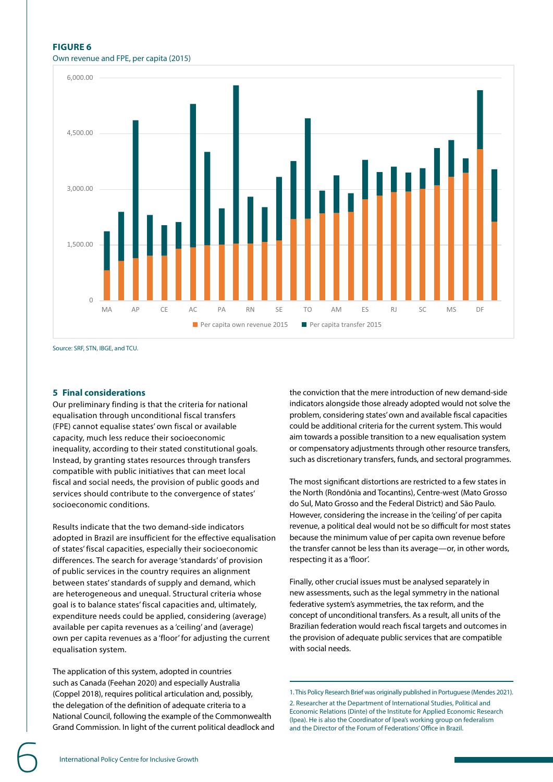#### **FIGURE 6**

## Own revenue and FPE, per capita (2015)



Source: SRF, STN, IBGE, and TCU.

#### **5 Final considerations**

Our preliminary finding is that the criteria for national equalisation through unconditional fiscal transfers (FPE) cannot equalise states' own fiscal or available capacity, much less reduce their socioeconomic inequality, according to their stated constitutional goals. Instead, by granting states resources through transfers compatible with public initiatives that can meet local fiscal and social needs, the provision of public goods and services should contribute to the convergence of states' socioeconomic conditions.

Results indicate that the two demand-side indicators adopted in Brazil are insufficient for the effective equalisation of states' fiscal capacities, especially their socioeconomic differences. The search for average 'standards' of provision of public services in the country requires an alignment between states' standards of supply and demand, which are heterogeneous and unequal. Structural criteria whose goal is to balance states' fiscal capacities and, ultimately, expenditure needs could be applied, considering (average) available per capita revenues as a 'ceiling' and (average) own per capita revenues as a 'floor' for adjusting the current equalisation system.

The application of this system, adopted in countries such as Canada (Feehan 2020) and especially Australia (Coppel 2018), requires political articulation and, possibly, the delegation of the definition of adequate criteria to a National Council, following the example of the Commonwealth Grand Commission. In light of the current political deadlock and the conviction that the mere introduction of new demand-side indicators alongside those already adopted would not solve the problem, considering states' own and available fiscal capacities could be additional criteria for the current system. This would aim towards a possible transition to a new equalisation system or compensatory adjustments through other resource transfers, such as discretionary transfers, funds, and sectoral programmes.

The most significant distortions are restricted to a few states in the North (Rondônia and Tocantins), Centre-west (Mato Grosso do Sul, Mato Grosso and the Federal District) and São Paulo. However, considering the increase in the 'ceiling' of per capita revenue, a political deal would not be so difficult for most states because the minimum value of per capita own revenue before the transfer cannot be less than its average—or, in other words, respecting it as a 'floor'.

Finally, other crucial issues must be analysed separately in new assessments, such as the legal symmetry in the national federative system's asymmetries, the tax reform, and the concept of unconditional transfers. As a result, all units of the Brazilian federation would reach fiscal targets and outcomes in the provision of adequate public services that are compatible with social needs.

1. This Policy Research Brief was originally published in Portuguese (Mendes 2021).

2. Researcher at the Department of International Studies, Political and Economic Relations (Dinte) of the Institute for Applied Economic Research (Ipea). He is also the Coordinator of Ipea's working group on federalism and the Director of the Forum of Federations' Office in Brazil.